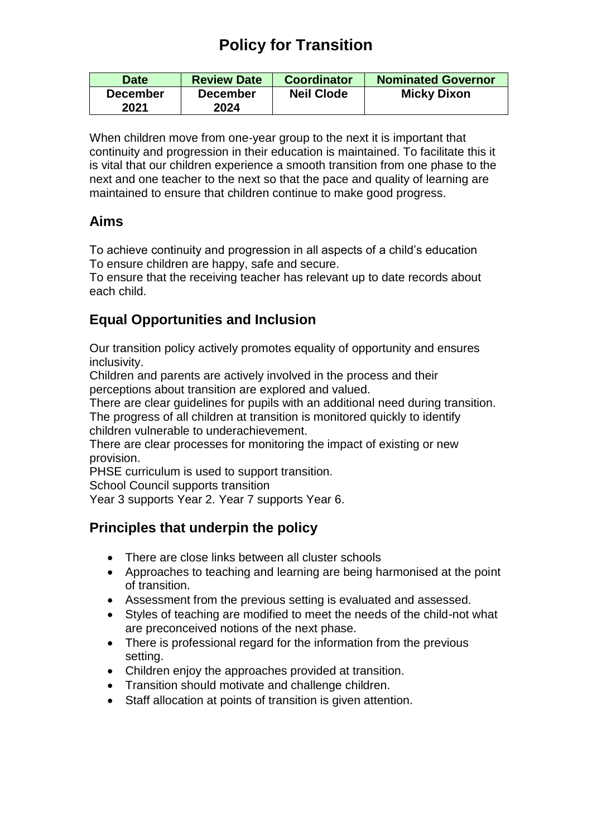# **Policy for Transition**

| <b>Date</b>     | <b>Review Date</b> | <b>Coordinator</b> | <b>Nominated Governor</b> |
|-----------------|--------------------|--------------------|---------------------------|
| <b>December</b> | <b>December</b>    | <b>Neil Clode</b>  | <b>Micky Dixon</b>        |
| 2021            | 2024               |                    |                           |

When children move from one-year group to the next it is important that continuity and progression in their education is maintained. To facilitate this it is vital that our children experience a smooth transition from one phase to the next and one teacher to the next so that the pace and quality of learning are maintained to ensure that children continue to make good progress.

## **Aims**

To achieve continuity and progression in all aspects of a child's education To ensure children are happy, safe and secure.

To ensure that the receiving teacher has relevant up to date records about each child.

# **Equal Opportunities and Inclusion**

Our transition policy actively promotes equality of opportunity and ensures inclusivity.

Children and parents are actively involved in the process and their perceptions about transition are explored and valued.

There are clear guidelines for pupils with an additional need during transition. The progress of all children at transition is monitored quickly to identify children vulnerable to underachievement.

There are clear processes for monitoring the impact of existing or new provision.

PHSE curriculum is used to support transition.

School Council supports transition

Year 3 supports Year 2. Year 7 supports Year 6.

## **Principles that underpin the policy**

- There are close links between all cluster schools
- Approaches to teaching and learning are being harmonised at the point of transition.
- Assessment from the previous setting is evaluated and assessed.
- Styles of teaching are modified to meet the needs of the child-not what are preconceived notions of the next phase.
- There is professional regard for the information from the previous setting.
- Children enjoy the approaches provided at transition.
- Transition should motivate and challenge children.
- Staff allocation at points of transition is given attention.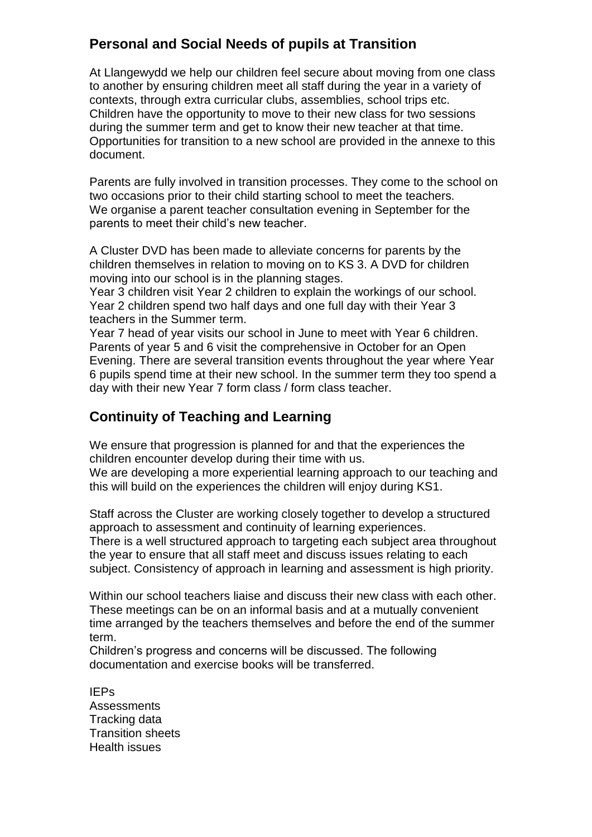## **Personal and Social Needs of pupils at Transition**

At Llangewydd we help our children feel secure about moving from one class to another by ensuring children meet all staff during the year in a variety of contexts, through extra curricular clubs, assemblies, school trips etc. Children have the opportunity to move to their new class for two sessions during the summer term and get to know their new teacher at that time. Opportunities for transition to a new school are provided in the annexe to this document.

Parents are fully involved in transition processes. They come to the school on two occasions prior to their child starting school to meet the teachers. We organise a parent teacher consultation evening in September for the parents to meet their child's new teacher.

A Cluster DVD has been made to alleviate concerns for parents by the children themselves in relation to moving on to KS 3. A DVD for children moving into our school is in the planning stages.

Year 3 children visit Year 2 children to explain the workings of our school. Year 2 children spend two half days and one full day with their Year 3 teachers in the Summer term.

Year 7 head of year visits our school in June to meet with Year 6 children. Parents of year 5 and 6 visit the comprehensive in October for an Open Evening. There are several transition events throughout the year where Year 6 pupils spend time at their new school. In the summer term they too spend a day with their new Year 7 form class / form class teacher.

## **Continuity of Teaching and Learning**

We ensure that progression is planned for and that the experiences the children encounter develop during their time with us.

We are developing a more experiential learning approach to our teaching and this will build on the experiences the children will enjoy during KS1.

Staff across the Cluster are working closely together to develop a structured approach to assessment and continuity of learning experiences. There is a well structured approach to targeting each subject area throughout the year to ensure that all staff meet and discuss issues relating to each subject. Consistency of approach in learning and assessment is high priority.

Within our school teachers liaise and discuss their new class with each other. These meetings can be on an informal basis and at a mutually convenient time arranged by the teachers themselves and before the end of the summer term.

Children's progress and concerns will be discussed. The following documentation and exercise books will be transferred.

IEPs Assessments Tracking data Transition sheets Health issues